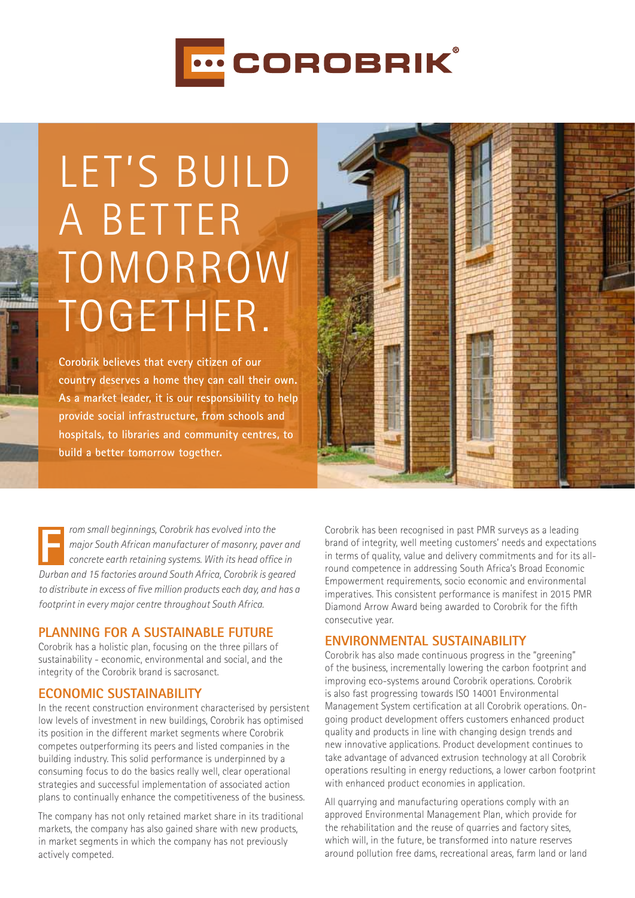

# LET'S BUILD A BETTER **TOMORROW** together.

**Corobrik believes that every citizen of our country deserves a home they can call their own. As a market leader, it is our responsibility to help provide social infrastructure, from schools and hospitals, to libraries and community centres, to build a better tomorrow together.**

*rom small beginnings, Corobrik has evolved into the major South African manufacturer of masonry, paver and concrete earth retaining systems. With its head office in Durban and 15 factories around South Africa, Corobrik is geared to distribute in excess of five million products each day, and has a footprint in every major centre throughout South Africa.*

# **Planning for a Sustainable Future**

Corobrik has a holistic plan, focusing on the three pillars of sustainability - economic, environmental and social, and the integrity of the Corobrik brand is sacrosanct.

# **Economic Sustainability**

In the recent construction environment characterised by persistent low levels of investment in new buildings, Corobrik has optimised its position in the different market segments where Corobrik competes outperforming its peers and listed companies in the building industry. This solid performance is underpinned by a consuming focus to do the basics really well, clear operational strategies and successful implementation of associated action plans to continually enhance the competitiveness of the business.

The company has not only retained market share in its traditional markets, the company has also gained share with new products, in market segments in which the company has not previously actively competed.

Corobrik has been recognised in past PMR surveys as a leading brand of integrity, well meeting customers' needs and expectations in terms of quality, value and delivery commitments and for its allround competence in addressing South Africa's Broad Economic Empowerment requirements, socio economic and environmental imperatives. This consistent performance is manifest in 2015 PMR Diamond Arrow Award being awarded to Corobrik for the fifth consecutive year.

# **Environmental Sustainability**

Corobrik has also made continuous progress in the "greening" of the business, incrementally lowering the carbon footprint and improving eco-systems around Corobrik operations. Corobrik is also fast progressing towards ISO 14001 Environmental Management System certification at all Corobrik operations. Ongoing product development offers customers enhanced product quality and products in line with changing design trends and new innovative applications. Product development continues to take advantage of advanced extrusion technology at all Corobrik operations resulting in energy reductions, a lower carbon footprint with enhanced product economies in application.

All quarrying and manufacturing operations comply with an approved Environmental Management Plan, which provide for the rehabilitation and the reuse of quarries and factory sites, which will, in the future, be transformed into nature reserves around pollution free dams, recreational areas, farm land or land